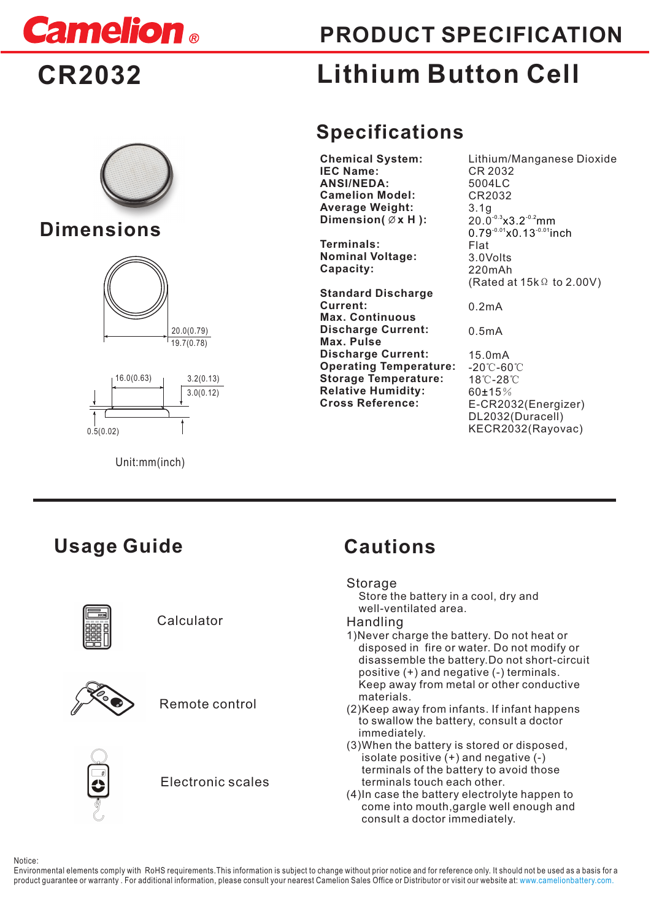

**PRODUCT SPECIFICATION**

# **CR2032**



## **Dimensions**





Unit:mm(inch)

# **Lithium Button Cell**

# **Specifications**

**Chemical System: IEC Name: ANSI/NEDA: Camelion Model: Average Weight:**  Dimension( $\emptyset$ x H ):

**Terminals: Nominal Voltage: Capacity:** 

**Standard Discharge Current: Max. Continuous Discharge Current: Max. Pulse Discharge Current: Operating Temperature: Storage Temperature: Relative Humidity: Cross Reference:** 

Lithium/Manganese Dioxide CR 2032 5004LC CR2032 3.1g  $20.0^{3.3} \times 3.2^{3.2}$ mm Flat 3.0Volts 220mAh (Rated at 15kΩ to 2.00V)  $0.79^{0.01}$ x0.13<sup>-0.01</sup>inch

0.2mA

0.5mA

15.0mA -20℃-60℃ 18℃-28℃ 60±15% E-CR2032(Energizer) DL2032(Duracell) KECR2032(Rayovac)

# **Usage Guide Cautions**



### Calculator



Remote control



Electronic scales

### **Storage**

 Store the battery in a cool, dry and well-ventilated area.

- Handling
- 1)Never charge the battery. Do not heat or disposed in fire or water. Do not modify or disassemble the battery. Do not short-circuit positive (+) and negative (-) terminals. Keep away from metal or other conductive materials.
- (2)Keep away from infants. If infant happens to swallow the battery, consult a doctor immediately.
- (3)When the battery is stored or disposed, isolate positive  $(+)$  and negative  $(-)$  terminals of the battery to avoid those terminals touch each other.
- (4)In case the battery electrolyte happen to come into mouth,gargle well enough and consult a doctor immediately.

**Notice:** 

Environmental elements comply with RoHS requirements.This information is subject to change without prior notice and for reference only. It should not be used as a basis for a product guarantee or warranty . For additional information, please consult your nearest Camelion Sales Office or Distributor or visit our website at: www.camelionbattery.com.